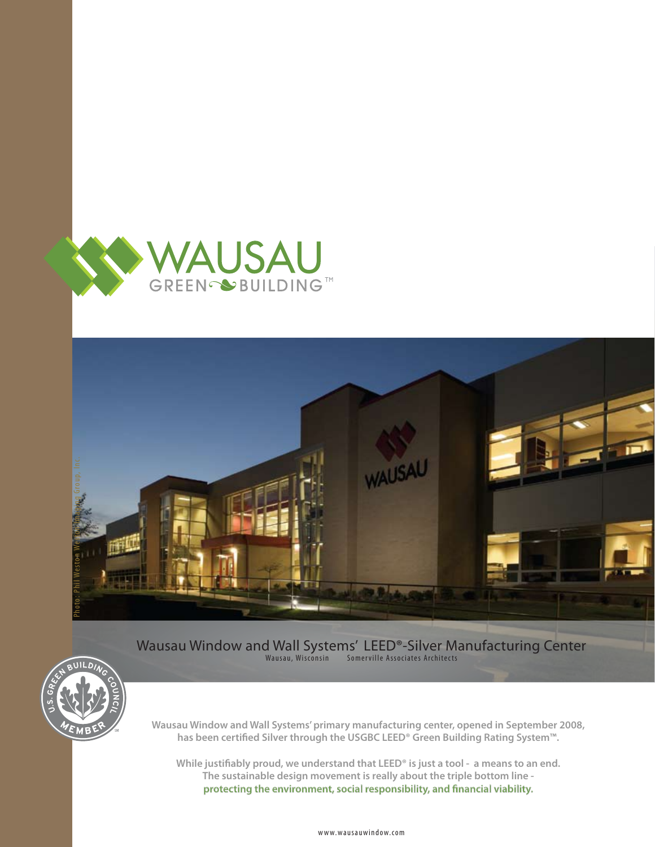



Wausau Window and Wall Systems' LEED®-Silver Manufacturing Center Wausau, Wisconsin Somerville Associates Architects



**Wausau Window and Wall Systems' primary manufacturing center, opened in September 2008,** has been certified Silver through the USGBC LEED<sup>®</sup> Green Building Rating System™.

While justifiably proud, we understand that LEED<sup>®</sup> is just a tool - a means to an end. **The sustainable design movement is really about the triple bottom line**  protecting the environment, social responsibility, and financial viability.

www.wausauwindow.com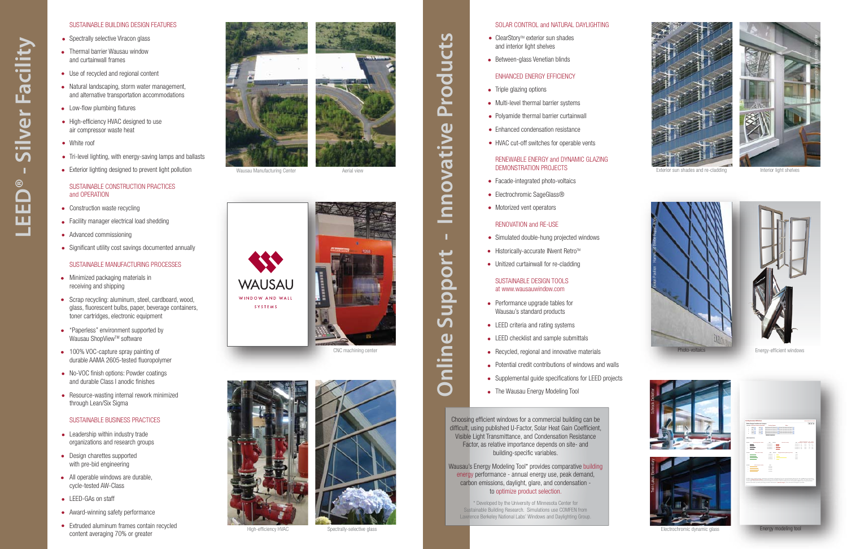### SUSTAINABLE BUILDING DESIGN FEATURES

- Spectrally selective Viracon glass
- Thermal barrier Wausau window and curtainwall frames
- Use of recycled and regional content  $\bullet$
- Natural landscaping, storm water management, and alternative transportation accommodations
- Low-flow plumbing fixtures
- High-efficiency HVAC designed to use air compressor waste heat
- White roof
- Tri-level lighting, with energy-saving lamps and ballasts
- **Exterior lighting designed to prevent light pollution**

# SUSTAINABLE CONSTRUCTION PRACTICES and OPERATION

- Construction waste recycling
- Facility manager electrical load shedding
- Advanced commissioning  $\bullet$
- Significant utility cost savings documented annually

### SUSTAINABLE MANUFACTURING PROCESSES

- Minimized packaging materials in receiving and shipping
- Scrap recycling: aluminum, steel, cardboard, wood, glass, fluorescent bulbs, paper, beverage containers, toner cartridges, electronic equipment
- "Paperless" environment supported by Wausau ShopView™ software
- 100% VOC-capture spray painting of durable AAMA 2605-tested fluoropolymer
- No-VOC finish options: Powder coatings and durable Class I anodic finishes
- Resource-wasting internal rework minimized through Lean/Six Sigma

## SUSTAINABLE BUSINESS PRACTICES

- Leadership within industry trade organizations and research groups
- Design charettes supported with pre-bid engineering
- All operable windows are durable, cycle-tested AW-Class
- LEED-GAs on staff
- Award-winning safety performance  $\bullet$
- Extruded aluminum frames contain recycled content averaging 70% or greater





Wausau Manufacturing Center **Access Access** Aerial view







CNC machining center





High-efficiency HVAC Spectrally-selective glass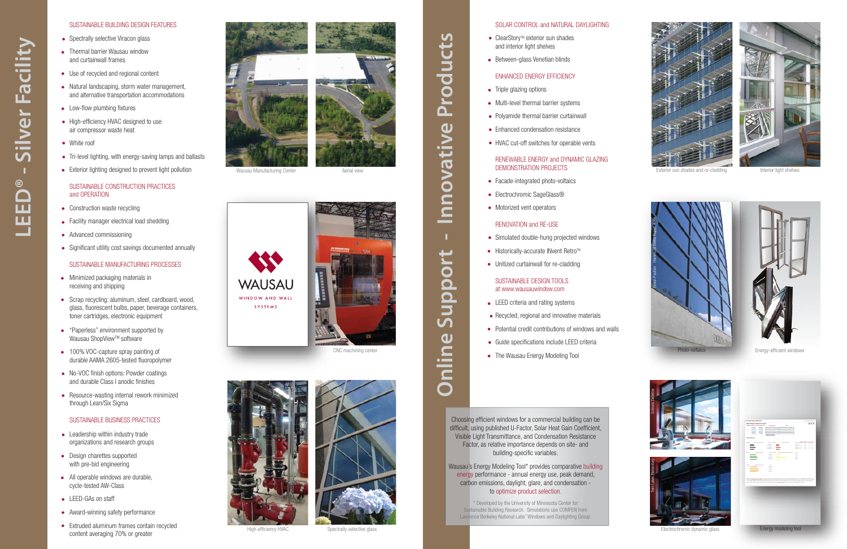### SOLAR CONTROL and NATURAL DAYLIGHTING

- ClearStory™ exterior sun shades and interior light shelves
- Between-glass Venetian blinds

# ENHANCED ENERGY EFFICIENCY

- $\bullet$ Triple glazing options
- Multi-level thermal barrier systems  $\bullet$
- Polyamide thermal barrier curtainwall
- Enhanced condensation resistance  $\bullet$
- HVAC cut-off switches for operable vents

# RENEWABLE ENERGY and DYNAMIC GLAZING DEMONSTRATION PROJECTS

- Facade-integrated photo-voltaics
- Electrochromic SageGlass®
- Motorized vent operators

#### RENOVATION and RE-USE

- Simulated double-hung projected windows
- Historically-accurate INvent Retro™  $\bullet$
- Unitized curtainwall for re-cladding

#### SUSTAINABLE DESIGN TOOLS at www.wausauwindow.com

- LEED criteria and rating systems
- Recycled, regional and innovative materials
- Potential credit contributions of windows and walls  $\bullet$
- Guide specifications include LEED criteria  $\bullet$
- The Wausau Energy Modeling Tool  $\bullet$

Choosing efficient windows for a commercial building can be difficult, using published U-Factor, Solar Heat Gain Coefficient, Visible Light Transmittance, and Condensation Resistance Factor, as relative importance depends on site- and building-specific variables.

Wausau's Energy Modeling Tool\* provides comparative building energy performance - annual energy use, peak demand, carbon emissions, daylight, glare, and condensation to optimize product selection.

\* Developed by the University of Minnesota Center for Sustainable Building Research. Simulations use COMFEN from Lawrence Berkeley National Labs' Windows and Daylighting Group.





Exterior sun shades and re-cladding





Photo-voltaics

Energy-efficient windows





Electrochromic dynamic glass **Energy modeling tool**